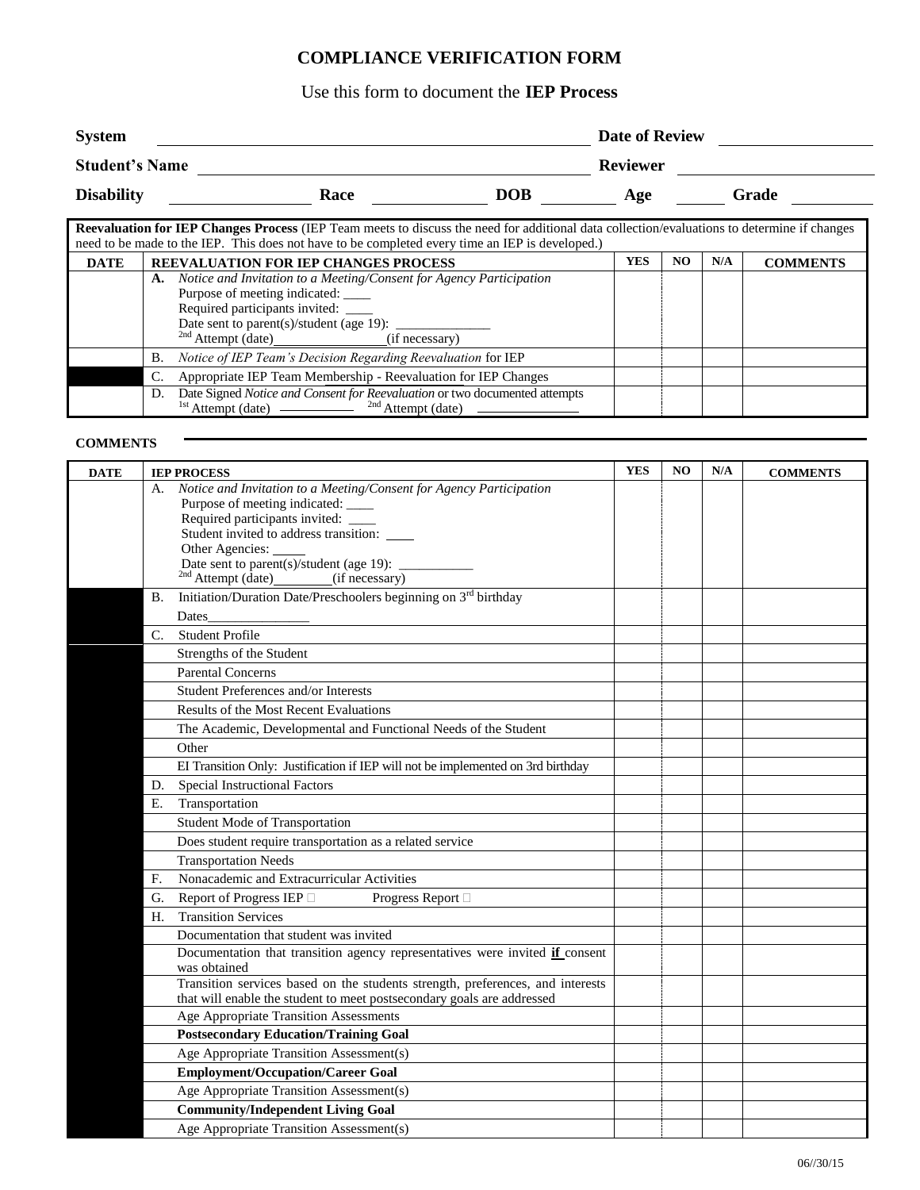## **COMPLIANCE VERIFICATION FORM**

## Use this form to document the **IEP Process**

| <b>System</b>         |      |            | Date of Review  |       |  |  |
|-----------------------|------|------------|-----------------|-------|--|--|
| <b>Student's Name</b> |      |            | <b>Reviewer</b> |       |  |  |
| <b>Disability</b>     | Race | <b>DOB</b> | Age             | Grade |  |  |

| Reevaluation for IEP Changes Process (IEP Team meets to discuss the need for additional data collection/evaluations to determine if changes |                                                                                                 |     |     |     |                 |
|---------------------------------------------------------------------------------------------------------------------------------------------|-------------------------------------------------------------------------------------------------|-----|-----|-----|-----------------|
|                                                                                                                                             | need to be made to the IEP. This does not have to be completed every time an IEP is developed.) |     |     |     |                 |
| <b>DATE</b>                                                                                                                                 | <b>REEVALUATION FOR IEP CHANGES PROCESS</b>                                                     | YES | NO. | N/A | <b>COMMENTS</b> |
|                                                                                                                                             | Notice and Invitation to a Meeting/Consent for Agency Participation<br>A.                       |     |     |     |                 |
|                                                                                                                                             | Purpose of meeting indicated: ____                                                              |     |     |     |                 |
|                                                                                                                                             | Required participants invited: ____                                                             |     |     |     |                 |
|                                                                                                                                             | Date sent to parent(s)/student (age 19): $\frac{ }{ }$                                          |     |     |     |                 |
|                                                                                                                                             | $^{2nd}$ Attempt (date) ______________(if necessary)                                            |     |     |     |                 |
|                                                                                                                                             | Notice of IEP Team's Decision Regarding Reevaluation for IEP<br>В.                              |     |     |     |                 |
|                                                                                                                                             | Appropriate IEP Team Membership - Reevaluation for IEP Changes<br>C.                            |     |     |     |                 |
|                                                                                                                                             | D.                                                                                              |     |     |     |                 |
|                                                                                                                                             |                                                                                                 |     |     |     |                 |

## **COMMENTS**

|             | <b>IEP PROCESS</b>                                                                                                                                       | <b>YES</b> | N <sub>O</sub> | N/A | <b>COMMENTS</b> |
|-------------|----------------------------------------------------------------------------------------------------------------------------------------------------------|------------|----------------|-----|-----------------|
| А.          | Notice and Invitation to a Meeting/Consent for Agency Participation<br>Purpose of meeting indicated: _____                                               |            |                |     |                 |
|             | Required participants invited: ____                                                                                                                      |            |                |     |                 |
|             | Student invited to address transition:                                                                                                                   |            |                |     |                 |
|             | Other Agencies:                                                                                                                                          |            |                |     |                 |
|             | Date sent to parent(s)/student (age 19): $\frac{1}{\sqrt{2\pi}}$                                                                                         |            |                |     |                 |
|             | $^{2nd}$ Attempt (date) (if necessary)                                                                                                                   |            |                |     |                 |
| В.          | Initiation/Duration Date/Preschoolers beginning on $3rd$ birthday                                                                                        |            |                |     |                 |
|             | Dates                                                                                                                                                    |            |                |     |                 |
| $C_{\cdot}$ | <b>Student Profile</b>                                                                                                                                   |            |                |     |                 |
|             | Strengths of the Student                                                                                                                                 |            |                |     |                 |
|             | <b>Parental Concerns</b>                                                                                                                                 |            |                |     |                 |
|             | Student Preferences and/or Interests                                                                                                                     |            |                |     |                 |
|             | Results of the Most Recent Evaluations                                                                                                                   |            |                |     |                 |
|             | The Academic, Developmental and Functional Needs of the Student                                                                                          |            |                |     |                 |
|             | Other                                                                                                                                                    |            |                |     |                 |
|             | EI Transition Only: Justification if IEP will not be implemented on 3rd birthday                                                                         |            |                |     |                 |
| D.          | <b>Special Instructional Factors</b>                                                                                                                     |            |                |     |                 |
| E.          | Transportation                                                                                                                                           |            |                |     |                 |
|             | Student Mode of Transportation                                                                                                                           |            |                |     |                 |
|             | Does student require transportation as a related service                                                                                                 |            |                |     |                 |
|             | <b>Transportation Needs</b>                                                                                                                              |            |                |     |                 |
| F.          | Nonacademic and Extracurricular Activities                                                                                                               |            |                |     |                 |
| G.          | Report of Progress IEP □<br>Progress Report □                                                                                                            |            |                |     |                 |
| Н.          | <b>Transition Services</b>                                                                                                                               |            |                |     |                 |
|             | Documentation that student was invited                                                                                                                   |            |                |     |                 |
|             | Documentation that transition agency representatives were invited if consent<br>was obtained                                                             |            |                |     |                 |
|             | Transition services based on the students strength, preferences, and interests<br>that will enable the student to meet postsecondary goals are addressed |            |                |     |                 |
|             | Age Appropriate Transition Assessments                                                                                                                   |            |                |     |                 |
|             | <b>Postsecondary Education/Training Goal</b>                                                                                                             |            |                |     |                 |
|             | Age Appropriate Transition Assessment(s)                                                                                                                 |            |                |     |                 |
|             | <b>Employment/Occupation/Career Goal</b>                                                                                                                 |            |                |     |                 |
|             | Age Appropriate Transition Assessment(s)                                                                                                                 |            |                |     |                 |
|             | <b>Community/Independent Living Goal</b>                                                                                                                 |            |                |     |                 |
|             | Age Appropriate Transition Assessment(s)                                                                                                                 |            |                |     |                 |